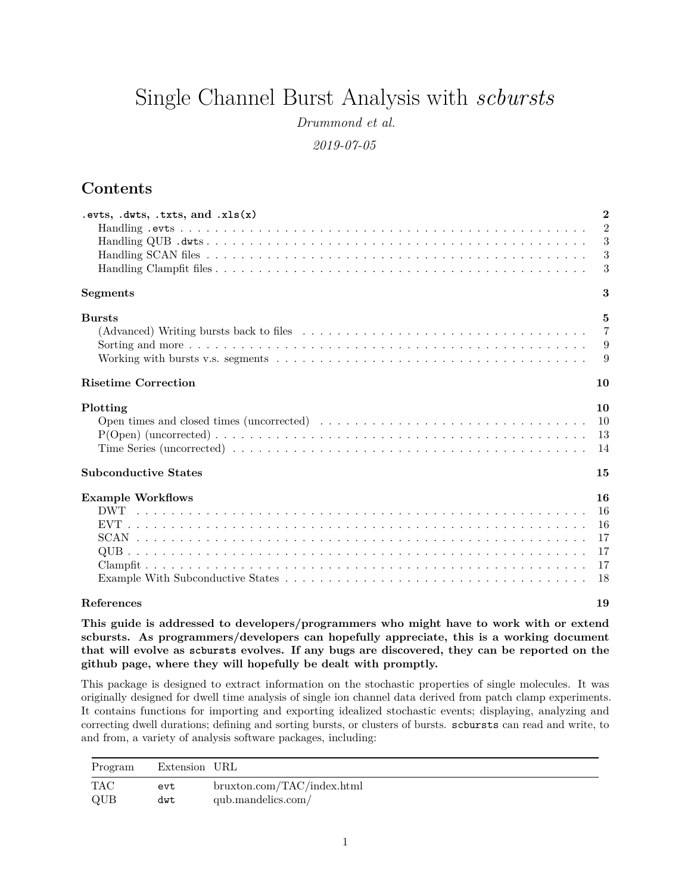# <span id="page-0-0"></span>Single Channel Burst Analysis with *scbursts*

*Drummond et al.*

*2019-07-05*

## **Contents**

| .evts, $duts$ , $.txts$ , and $xts(x)$ | $\mathbf{2}$   |
|----------------------------------------|----------------|
|                                        | $\overline{2}$ |
|                                        | 3              |
|                                        | 3              |
|                                        | 3              |
| <b>Segments</b>                        | 3              |
| <b>Bursts</b>                          | $\mathbf{5}$   |
|                                        | $\overline{7}$ |
|                                        | 9              |
|                                        | 9              |
| <b>Risetime Correction</b>             | 10             |
| Plotting                               | 10             |
|                                        | 10             |
|                                        | 13             |
|                                        | 14             |
| <b>Subconductive States</b>            | 15             |
| <b>Example Workflows</b>               | 16             |
|                                        | 16             |
|                                        | 16             |
|                                        | 17             |
|                                        | 17             |
|                                        | 17             |
|                                        | 18             |
| References                             | 19             |

**This guide is addressed to developers/programmers who might have to work with or extend scbursts. As programmers/developers can hopefully appreciate, this is a working document that will evolve as scbursts evolves. If any bugs are discovered, they can be reported on [the](https://github.com/dacostalab/scbursts) [github page,](https://github.com/dacostalab/scbursts) where they will hopefully be dealt with promptly.**

This package is designed to extract information on the stochastic properties of single molecules. It was originally designed for dwell time analysis of single ion channel data derived from patch clamp experiments. It contains functions for importing and exporting idealized stochastic events; displaying, analyzing and correcting dwell durations; defining and sorting bursts, or clusters of bursts. scbursts can read and write, to and from, a variety of analysis software packages, including:

| Program | Extension URL |                            |
|---------|---------------|----------------------------|
| TAC     | evt           | bruxton.com/TAC/index.html |
| QUB     | dwt           | qub.mandelics.com/         |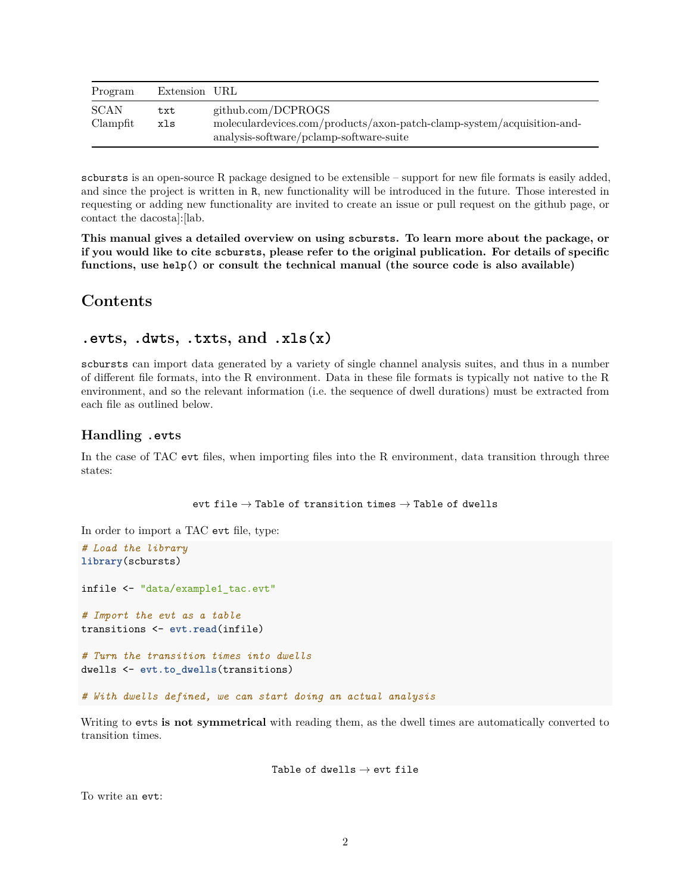| Program          | Extension URL |                                                                                                                                         |
|------------------|---------------|-----------------------------------------------------------------------------------------------------------------------------------------|
| SCAN<br>Clampfit | txt<br>xls    | github.com/DCPROGS<br>moleculardevices.com/products/axon-patch-clamp-system/acquisition-and-<br>analysis-software/pclamp-software-suite |

scbursts is an open-source R package designed to be extensible – support for new file formats is easily added, and since the project is written in R, new functionality will be introduced in the future. Those interested in requesting or adding new functionality are invited to create an issue or pull request on [the github page,](https://github.com/dacostalab/scbursts) or [contact the dacosta\]:\[lab.](https://www.dacosta.net/)

**This manual gives a detailed overview on using scbursts. To learn more about the package, or if you would like to cite scbursts, please refer to the original publication. For details of specific functions, use help() or consult the technical manual (the source code is also available)**

## **Contents**

### <span id="page-1-0"></span>**.evts, .dwts, .txts, and .xls(x)**

scbursts can import data generated by a variety of single channel analysis suites, and thus in a number of different file formats, into the R environment. Data in these file formats is typically not native to the R environment, and so the relevant information (i.e. the sequence of dwell durations) must be extracted from each file as outlined below.

### <span id="page-1-1"></span>**Handling .evts**

In the case of TAC evt files, when importing files into the R environment, data transition through three states:

evt file  $\rightarrow$  Table of transition times  $\rightarrow$  Table of dwells

In order to import a TAC evt file, type:

```
# Load the library
library(scbursts)
infile <- "data/example1_tac.evt"
# Import the evt as a table
transitions <- evt.read(infile)
# Turn the transition times into dwells
dwells <- evt.to_dwells(transitions)
# With dwells defined, we can start doing an actual analysis
```
Writing to evts **is not symmetrical** with reading them, as the dwell times are automatically converted to transition times.

Table of dwells  $\rightarrow$  evt file

To write an evt: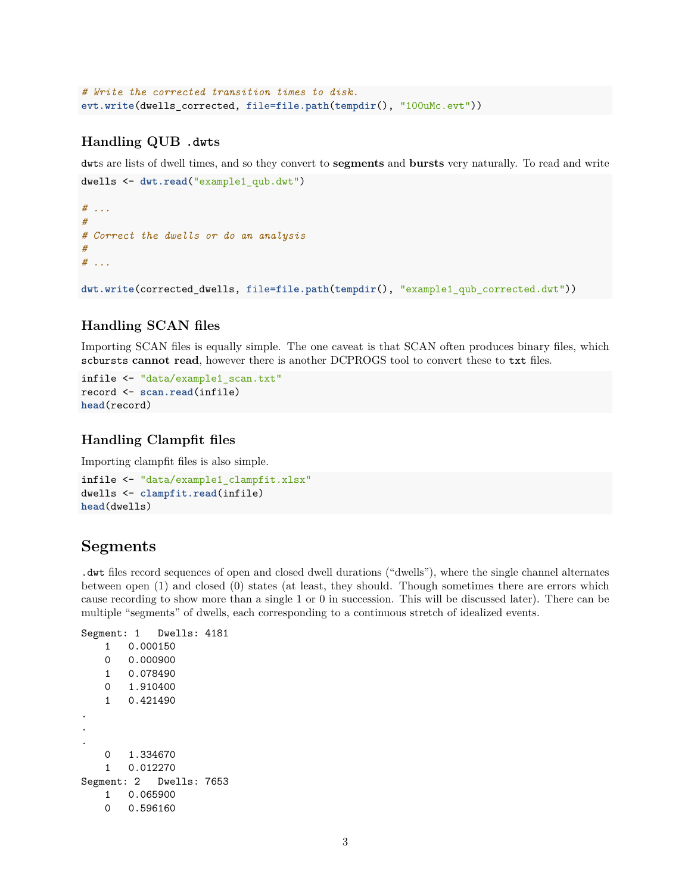```
# Write the corrected transition times to disk.
evt.write(dwells_corrected, file=file.path(tempdir(), "100uMc.evt"))
```
### <span id="page-2-0"></span>**Handling QUB .dwts**

dwts are lists of dwell times, and so they convert to **segments** and **bursts** very naturally. To read and write dwells <- **dwt.read**("example1\_qub.dwt")

```
# ...
#
# Correct the dwells or do an analysis
#
# ...
dwt.write(corrected_dwells, file=file.path(tempdir(), "example1_qub_corrected.dwt"))
```
### <span id="page-2-1"></span>**Handling SCAN files**

Importing SCAN files is equally simple. The one caveat is that SCAN often produces binary files, which scbursts **cannot read**, however there is another DCPROGS tool to convert these to txt files.

```
infile <- "data/example1_scan.txt"
record <- scan.read(infile)
head(record)
```
## <span id="page-2-2"></span>**Handling Clampfit files**

Importing clampfit files is also simple.

```
infile <- "data/example1_clampfit.xlsx"
dwells <- clampfit.read(infile)
head(dwells)
```
## <span id="page-2-3"></span>**Segments**

.dwt files record sequences of open and closed dwell durations ("dwells"), where the single channel alternates between open (1) and closed (0) states (at least, they should. Though sometimes there are errors which cause recording to show more than a single 1 or 0 in succession. This will be discussed later). There can be multiple "segments" of dwells, each corresponding to a continuous stretch of idealized events.

```
Segment: 1 Dwells: 4181
   1 0.000150
   0 0.000900
   1 0.078490
   0 1.910400
   1 0.421490
.
.
.
   0 1.334670
   1 0.012270
Segment: 2 Dwells: 7653
   1 0.065900
   0 0.596160
```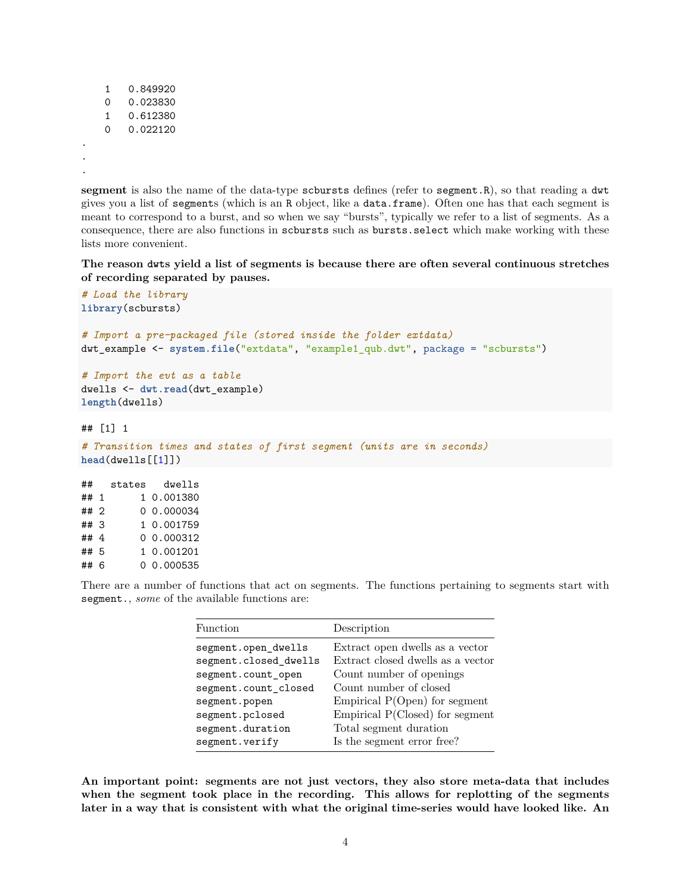```
1 0.849920
0 0.023830
1 0.612380
0 0.022120
```
. . .

**segment** is also the name of the data-type scbursts defines (refer to segment.R), so that reading a dwt gives you a list of segments (which is an R object, like a data.frame). Often one has that each segment is meant to correspond to a burst, and so when we say "bursts", typically we refer to a list of segments. As a consequence, there are also functions in scbursts such as bursts.select which make working with these lists more convenient.

**The reason dwts yield a list of segments is because there are often several continuous stretches of recording separated by pauses.**

```
# Load the library
library(scbursts)
# Import a pre-packaged file (stored inside the folder extdata)
dwt_example <- system.file("extdata", "example1_qub.dwt", package = "scbursts")
# Import the evt as a table
dwells <- dwt.read(dwt_example)
length(dwells)
## [1] 1
# Transition times and states of first segment (units are in seconds)
head(dwells[[1]])
```

| ##   | states | dwells     |
|------|--------|------------|
| ## 1 |        | 1 0.001380 |
| ## 2 |        | 0.000034   |
| ##3  |        | 1 0.001759 |
| ## 4 |        | 0 0.000312 |
| ## 5 |        | 1 0.001201 |
| ## 6 |        | 0 0.000535 |

There are a number of functions that act on segments. The functions pertaining to segments start with segment., *some* of the available functions are:

| Function              | Description                       |
|-----------------------|-----------------------------------|
| segment.open_dwells   | Extract open dwells as a vector   |
| segment.closed_dwells | Extract closed dwells as a vector |
| segment.count_open    | Count number of openings          |
| segment.count_closed  | Count number of closed            |
| segment.popen         | Empirical $P(Open)$ for segment   |
| segment.pclosed       | Empirical P(Closed) for segment   |
| segment.duration      | Total segment duration            |
| segment.verify        | Is the segment error free?        |

**An important point: segments are not just vectors, they also store meta-data that includes when the segment took place in the recording. This allows for replotting of the segments later in a way that is consistent with what the original time-series would have looked like. An**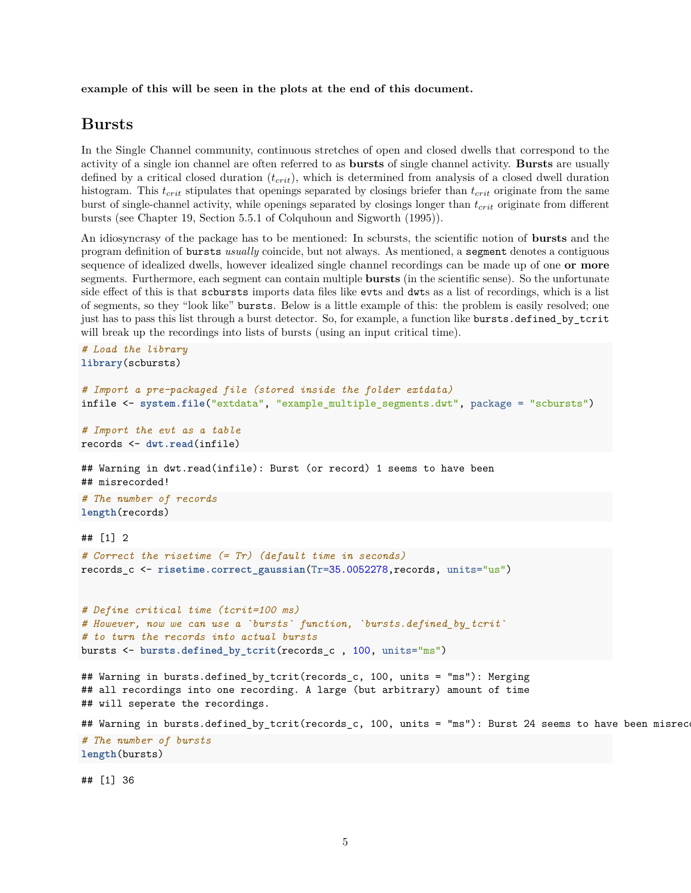**example of this will be seen in the plots at the end of this document.**

### <span id="page-4-0"></span>**Bursts**

In the Single Channel community, continuous stretches of open and closed dwells that correspond to the activity of a single ion channel are often referred to as **bursts** of single channel activity. **Bursts** are usually defined by a critical closed duration (*tcrit*), which is determined from analysis of a closed dwell duration histogram. This *tcrit* stipulates that openings separated by closings briefer than *tcrit* originate from the same burst of single-channel activity, while openings separated by closings longer than *tcrit* originate from different bursts (see Chapter 19, Section 5.5.1 of Colquhoun and Sigworth (1995)).

An idiosyncrasy of the package has to be mentioned: In scbursts, the scientific notion of **bursts** and the program definition of bursts *usually* coincide, but not always. As mentioned, a segment denotes a contiguous sequence of idealized dwells, however idealized single channel recordings can be made up of one **or more** segments. Furthermore, each segment can contain multiple **bursts** (in the scientific sense). So the unfortunate side effect of this is that scbursts imports data files like evts and dwts as a list of recordings, which is a list of segments, so they "look like" bursts. Below is a little example of this: the problem is easily resolved; one just has to pass this list through a burst detector. So, for example, a function like bursts.defined\_by\_tcrit will break up the recordings into lists of bursts (using an input critical time).

```
# Load the library
library(scbursts)
# Import a pre-packaged file (stored inside the folder extdata)
infile <- system.file("extdata", "example_multiple_segments.dwt", package = "scbursts")
# Import the evt as a table
records <- dwt.read(infile)
## Warning in dwt.read(infile): Burst (or record) 1 seems to have been
## misrecorded!
# The number of records
length(records)
## [1] 2
# Correct the risetime (= Tr) (default time in seconds)
records_c <- risetime.correct_gaussian(Tr=35.0052278,records, units="us")
# Define critical time (tcrit=100 ms)
# However, now we can use a `bursts` function, `bursts.defined_by_tcrit`
# to turn the records into actual bursts
bursts <- bursts.defined_by_tcrit(records_c , 100, units="ms")
## Warning in bursts.defined_by_tcrit(records_c, 100, units = "ms"): Merging
## all recordings into one recording. A large (but arbitrary) amount of time
## will seperate the recordings.
## Warning in bursts.defined_by_tcrit(records_c, 100, units = "ms"): Burst 24 seems to have been misrec
# The number of bursts
length(bursts)
```
## [1] 36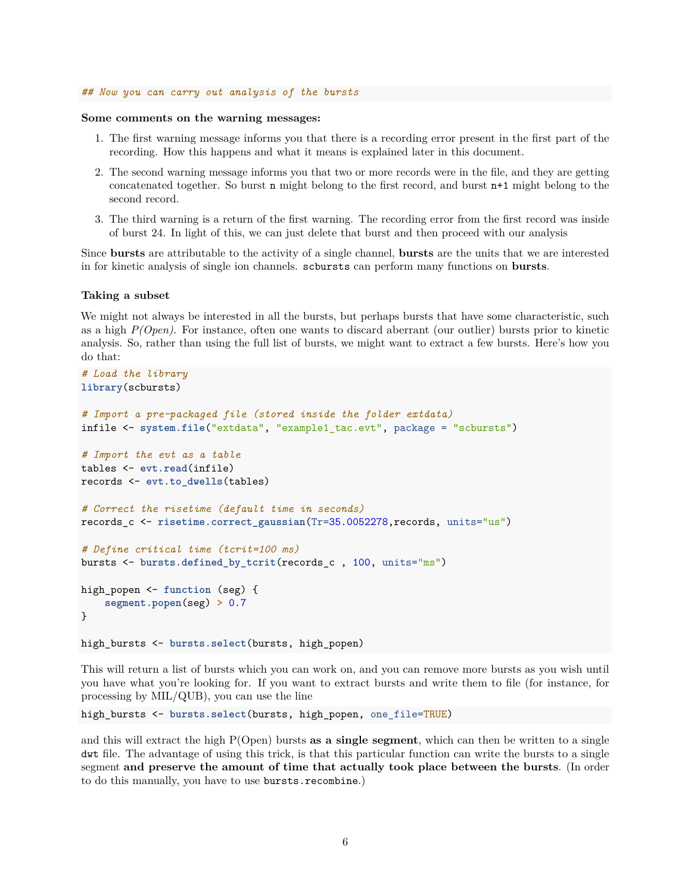#### *## Now you can carry out analysis of the bursts*

#### **Some comments on the warning messages:**

- 1. The first warning message informs you that there is a recording error present in the first part of the recording. How this happens and what it means is explained later in this document.
- 2. The second warning message informs you that two or more records were in the file, and they are getting concatenated together. So burst n might belong to the first record, and burst n+1 might belong to the second record.
- 3. The third warning is a return of the first warning. The recording error from the first record was inside of burst 24. In light of this, we can just delete that burst and then proceed with our analysis

Since **bursts** are attributable to the activity of a single channel, **bursts** are the units that we are interested in for kinetic analysis of single ion channels. scbursts can perform many functions on **bursts**.

#### **Taking a subset**

We might not always be interested in all the bursts, but perhaps bursts that have some characteristic, such as a high *P(Open)*. For instance, often one wants to discard aberrant (our outlier) bursts prior to kinetic analysis. So, rather than using the full list of bursts, we might want to extract a few bursts. Here's how you do that:

```
# Load the library
library(scbursts)
# Import a pre-packaged file (stored inside the folder extdata)
infile <- system.file("extdata", "example1_tac.evt", package = "scbursts")
# Import the evt as a table
tables <- evt.read(infile)
records <- evt.to_dwells(tables)
# Correct the risetime (default time in seconds)
records_c <- risetime.correct_gaussian(Tr=35.0052278,records, units="us")
# Define critical time (tcrit=100 ms)
bursts <- bursts.defined_by_tcrit(records_c , 100, units="ms")
high_popen <- function (seg) {
    segment.popen(seg) > 0.7
}
high_bursts <- bursts.select(bursts, high_popen)
```
This will return a list of bursts which you can work on, and you can remove more bursts as you wish until you have what you're looking for. If you want to extract bursts and write them to file (for instance, for processing by MIL/QUB), you can use the line

high bursts <- bursts.select(bursts, high popen, one file=TRUE)

and this will extract the high P(Open) bursts **as a single segment**, which can then be written to a single dwt file. The advantage of using this trick, is that this particular function can write the bursts to a single segment **and preserve the amount of time that actually took place between the bursts**. (In order to do this manually, you have to use bursts.recombine.)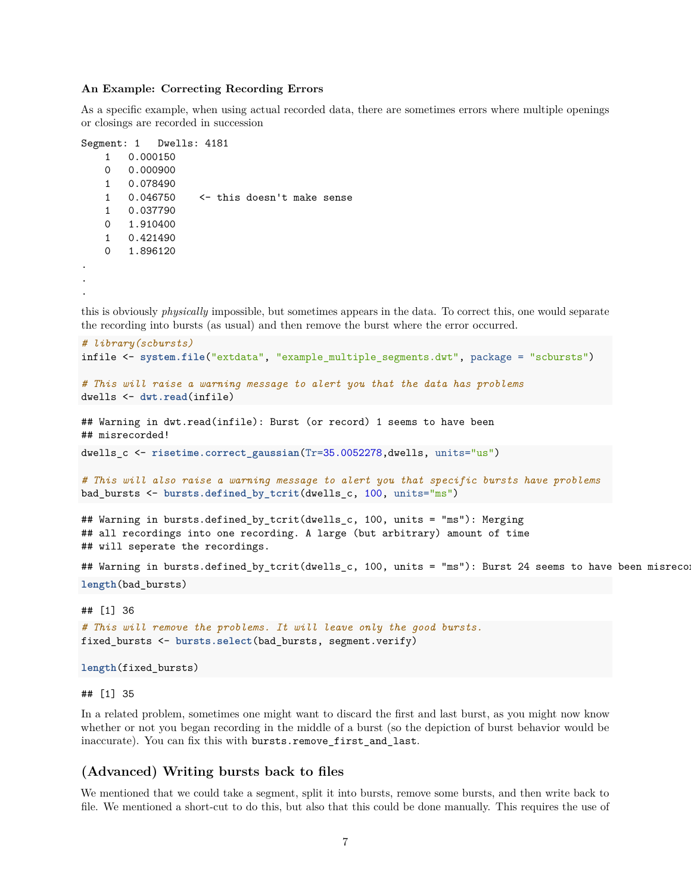#### **An Example: Correcting Recording Errors**

As a specific example, when using actual recorded data, there are sometimes errors where multiple openings or closings are recorded in succession

```
Segment: 1 Dwells: 4181
   1 0.000150
   0 0.000900
   1 0.078490
   1 0.046750 <- this doesn't make sense
   1 0.037790
   0 1.910400
   1 0.421490
   0 1.896120
.
.
.
```
this is obviously *physically* impossible, but sometimes appears in the data. To correct this, one would separate the recording into bursts (as usual) and then remove the burst where the error occurred.

```
# library(scbursts)
infile <- system.file("extdata", "example_multiple_segments.dwt", package = "scbursts")
# This will raise a warning message to alert you that the data has problems
dwells <- dwt.read(infile)
## Warning in dwt.read(infile): Burst (or record) 1 seems to have been
## misrecorded!
dwells_c <- risetime.correct_gaussian(Tr=35.0052278,dwells, units="us")
```

```
# This will also raise a warning message to alert you that specific bursts have problems
bad_bursts <- bursts.defined_by_tcrit(dwells_c, 100, units="ms")
```
## Warning in bursts.defined\_by\_tcrit(dwells\_c, 100, units = "ms"): Merging ## all recordings into one recording. A large (but arbitrary) amount of time ## will seperate the recordings.

```
## Warning in bursts.defined_by_tcrit(dwells_c, 100, units = "ms"): Burst 24 seems to have been misrecord
length(bad_bursts)
```
#### ## [1] 36

```
# This will remove the problems. It will leave only the good bursts.
fixed_bursts <- bursts.select(bad_bursts, segment.verify)
```

```
length(fixed_bursts)
```
#### ## [1] 35

In a related problem, sometimes one might want to discard the first and last burst, as you might now know whether or not you began recording in the middle of a burst (so the depiction of burst behavior would be inaccurate). You can fix this with bursts.remove\_first\_and\_last.

#### <span id="page-6-0"></span>**(Advanced) Writing bursts back to files**

We mentioned that we could take a segment, split it into bursts, remove some bursts, and then write back to file. We mentioned a short-cut to do this, but also that this could be done manually. This requires the use of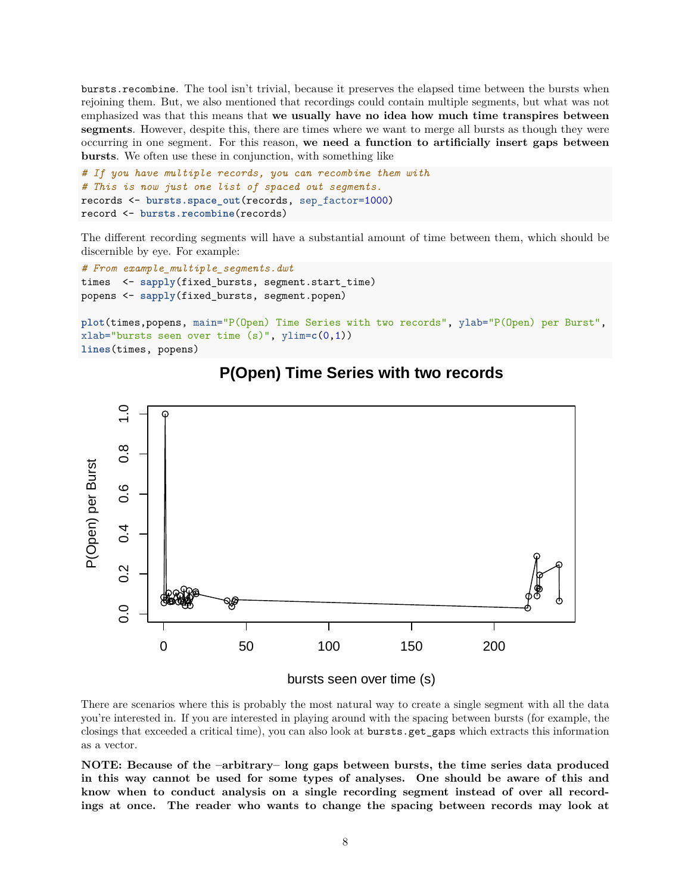bursts.recombine. The tool isn't trivial, because it preserves the elapsed time between the bursts when rejoining them. But, we also mentioned that recordings could contain multiple segments, but what was not emphasized was that this means that **we usually have no idea how much time transpires between segments**. However, despite this, there are times where we want to merge all bursts as though they were occurring in one segment. For this reason, **we need a function to artificially insert gaps between bursts**. We often use these in conjunction, with something like

```
# If you have multiple records, you can recombine them with
# This is now just one list of spaced out segments.
records <- bursts.space_out(records, sep_factor=1000)
record <- bursts.recombine(records)
```
The different recording segments will have a substantial amount of time between them, which should be discernible by eye. For example:

```
# From example_multiple_segments.dwt
times <- sapply(fixed_bursts, segment.start_time)
popens <- sapply(fixed_bursts, segment.popen)
```

```
plot(times,popens, main="P(Open) Time Series with two records", ylab="P(Open) per Burst",
xlab="bursts seen over time (s)", ylim=c(0,1))
lines(times, popens)
```


## **P(Open) Time Series with two records**

There are scenarios where this is probably the most natural way to create a single segment with all the data you're interested in. If you are interested in playing around with the spacing between bursts (for example, the closings that exceeded a critical time), you can also look at bursts.get\_gaps which extracts this information as a vector.

**NOTE: Because of the –arbitrary– long gaps between bursts, the time series data produced in this way cannot be used for some types of analyses. One should be aware of this and know when to conduct analysis on a single recording segment instead of over all recordings at once. The reader who wants to change the spacing between records may look at**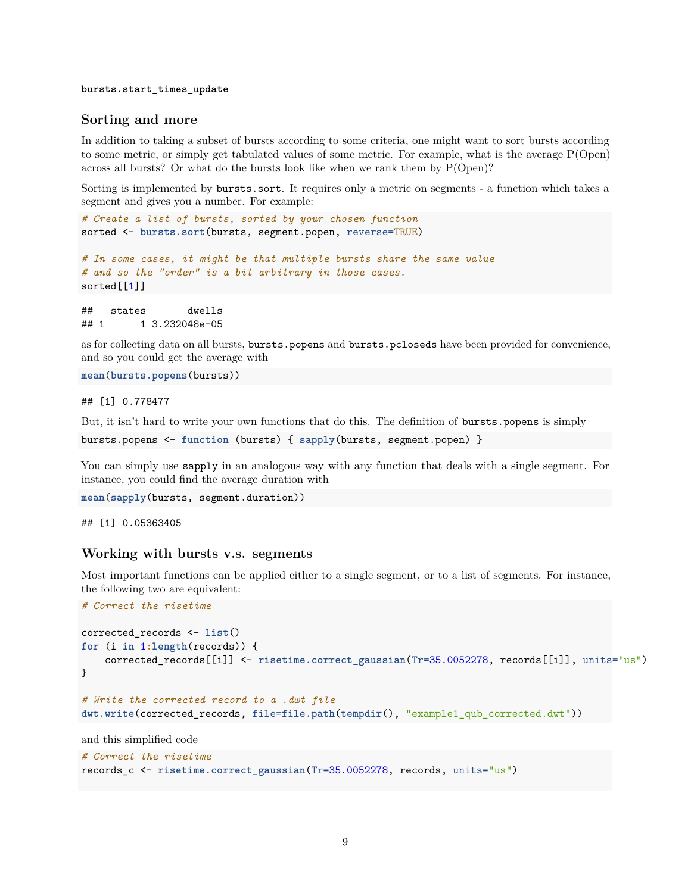#### **bursts.start\_times\_update**

#### <span id="page-8-0"></span>**Sorting and more**

In addition to taking a subset of bursts according to some criteria, one might want to sort bursts according to some metric, or simply get tabulated values of some metric. For example, what is the average P(Open) across all bursts? Or what do the bursts look like when we rank them by P(Open)?

Sorting is implemented by bursts.sort. It requires only a metric on segments - a function which takes a segment and gives you a number. For example:

```
# Create a list of bursts, sorted by your chosen function
sorted <- bursts.sort(bursts, segment.popen, reverse=TRUE)
```

```
# In some cases, it might be that multiple bursts share the same value
# and so the "order" is a bit arbitrary in those cases.
sorted[[1]]
```
## states dwells ## 1 1 3.232048e-05

as for collecting data on all bursts, bursts.popens and bursts.pcloseds have been provided for convenience, and so you could get the average with

**mean**(**bursts.popens**(bursts))

## [1] 0.778477

But, it isn't hard to write your own functions that do this. The definition of bursts.popens is simply

```
bursts.popens <- function (bursts) { sapply(bursts, segment.popen) }
```
You can simply use sapply in an analogous way with any function that deals with a single segment. For instance, you could find the average duration with

```
mean(sapply(bursts, segment.duration))
```
## [1] 0.05363405

#### <span id="page-8-1"></span>**Working with bursts v.s. segments**

Most important functions can be applied either to a single segment, or to a list of segments. For instance, the following two are equivalent:

```
# Correct the risetime
corrected_records <- list()
for (i in 1:length(records)) {
    corrected_records[[i]] <- risetime.correct_gaussian(Tr=35.0052278, records[[i]], units="us")
}
# Write the corrected record to a .dwt file
dwt.write(corrected_records, file=file.path(tempdir(), "example1_qub_corrected.dwt"))
```

```
and this simplified code
```

```
# Correct the risetime
records_c <- risetime.correct_gaussian(Tr=35.0052278, records, units="us")
```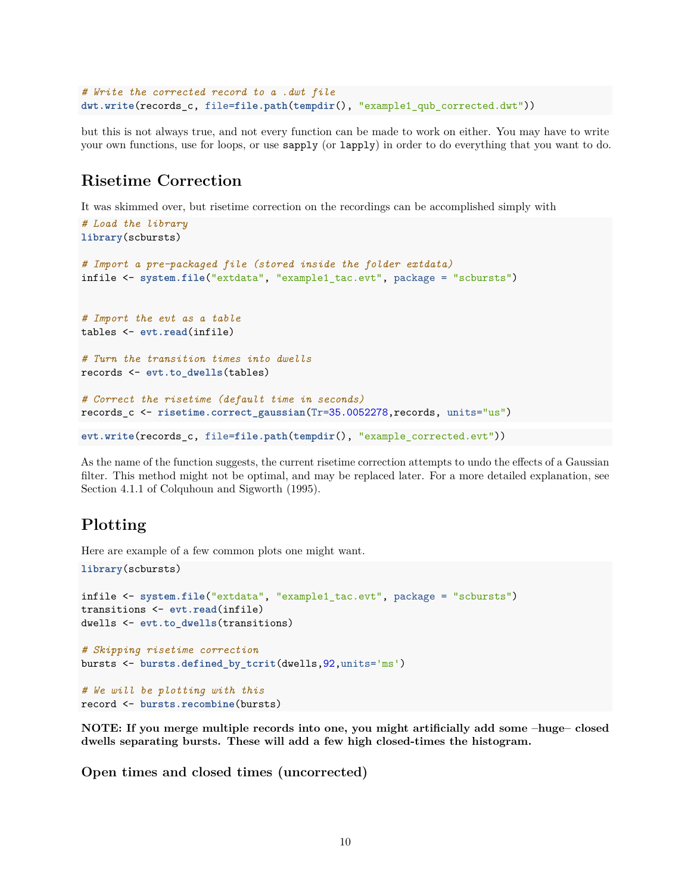```
# Write the corrected record to a .dwt file
dwt.write(records_c, file=file.path(tempdir(), "example1_qub_corrected.dwt"))
```
but this is not always true, and not every function can be made to work on either. You may have to write your own functions, use for loops, or use sapply (or lapply) in order to do everything that you want to do.

## <span id="page-9-0"></span>**Risetime Correction**

It was skimmed over, but risetime correction on the recordings can be accomplished simply with

```
# Load the library
library(scbursts)
# Import a pre-packaged file (stored inside the folder extdata)
infile <- system.file("extdata", "example1_tac.evt", package = "scbursts")
# Import the evt as a table
tables <- evt.read(infile)
# Turn the transition times into dwells
records <- evt.to_dwells(tables)
# Correct the risetime (default time in seconds)
records_c <- risetime.correct_gaussian(Tr=35.0052278,records, units="us")
evt.write(records_c, file=file.path(tempdir(), "example_corrected.evt"))
```
As the name of the function suggests, the current risetime correction attempts to undo the effects of a Gaussian filter. This method might not be optimal, and may be replaced later. For a more detailed explanation, see Section 4.1.1 of Colquhoun and Sigworth (1995).

## <span id="page-9-1"></span>**Plotting**

Here are example of a few common plots one might want.

```
library(scbursts)
infile <- system.file("extdata", "example1_tac.evt", package = "scbursts")
transitions <- evt.read(infile)
dwells <- evt.to_dwells(transitions)
# Skipping risetime correction
bursts <- bursts.defined_by_tcrit(dwells,92,units='ms')
# We will be plotting with this
record <- bursts.recombine(bursts)
```
**NOTE: If you merge multiple records into one, you might artificially add some –huge– closed dwells separating bursts. These will add a few high closed-times the histogram.**

<span id="page-9-2"></span>**Open times and closed times (uncorrected)**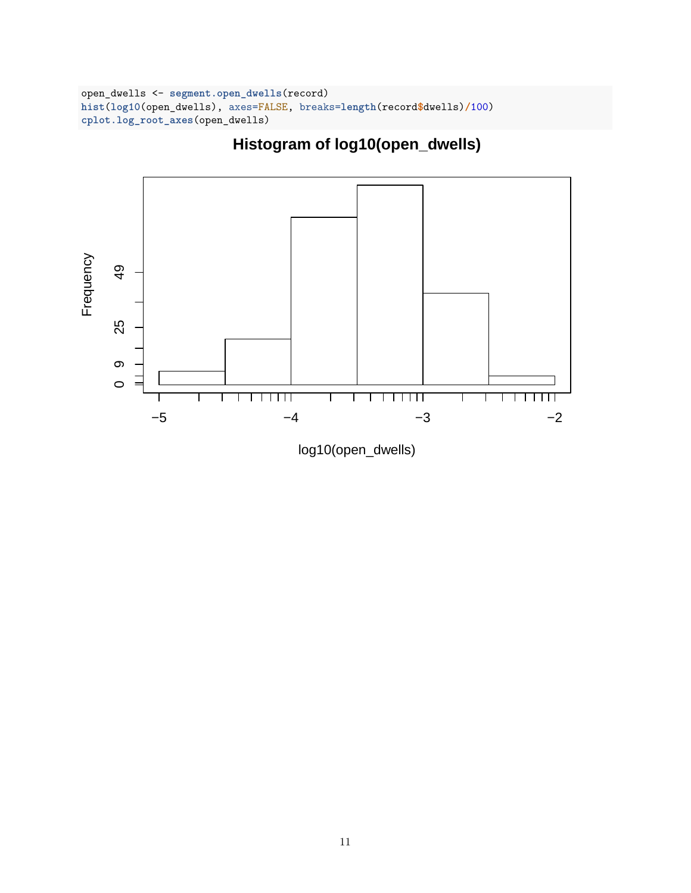```
open_dwells <- segment.open_dwells(record)
hist(log10(open_dwells), axes=FALSE, breaks=length(record$dwells)/100)
cplot.log_root_axes(open_dwells)
```
**Histogram of log10(open\_dwells)**



log10(open\_dwells)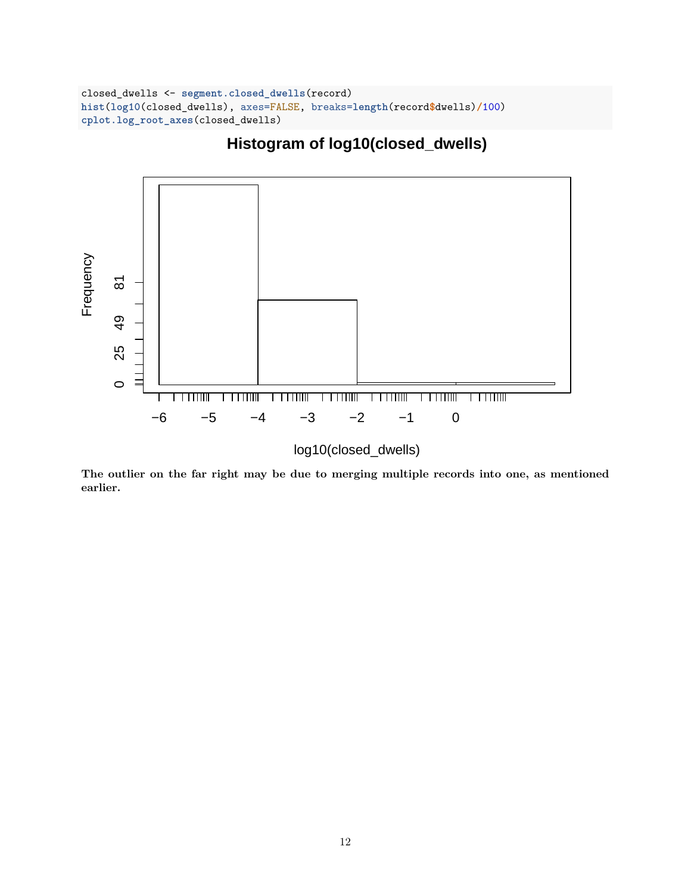```
closed_dwells <- segment.closed_dwells(record)
hist(log10(closed_dwells), axes=FALSE, breaks=length(record$dwells)/100)
cplot.log_root_axes(closed_dwells)
```
# **Histogram of log10(closed\_dwells)**



log10(closed\_dwells)

**The outlier on the far right may be due to merging multiple records into one, as mentioned earlier.**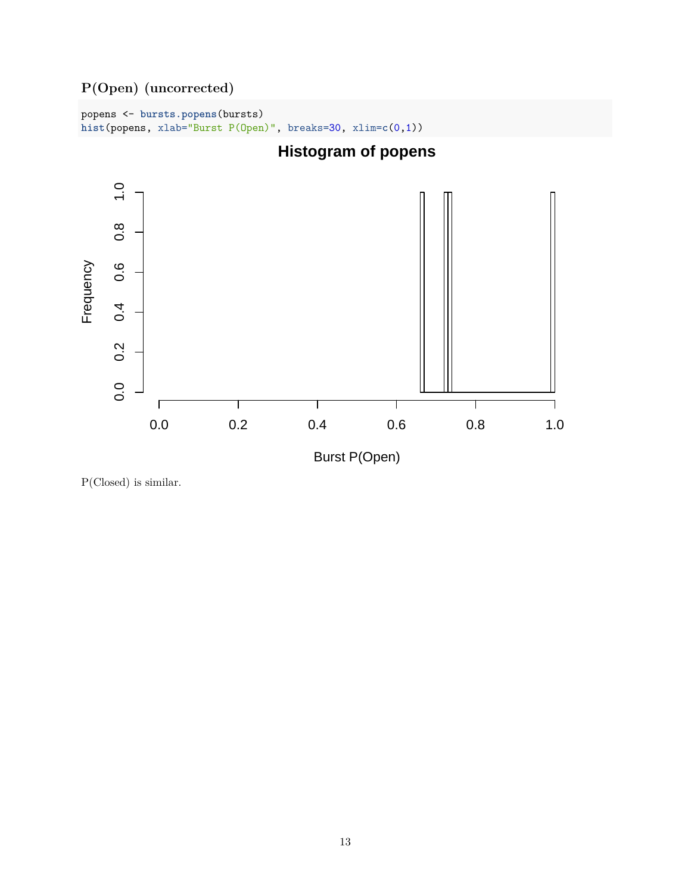<span id="page-12-0"></span>**P(Open) (uncorrected)**

popens <- **bursts.popens**(bursts) **hist**(popens, xlab="Burst P(Open)", breaks=30, xlim=**c**(0,1))



P(Closed) is similar.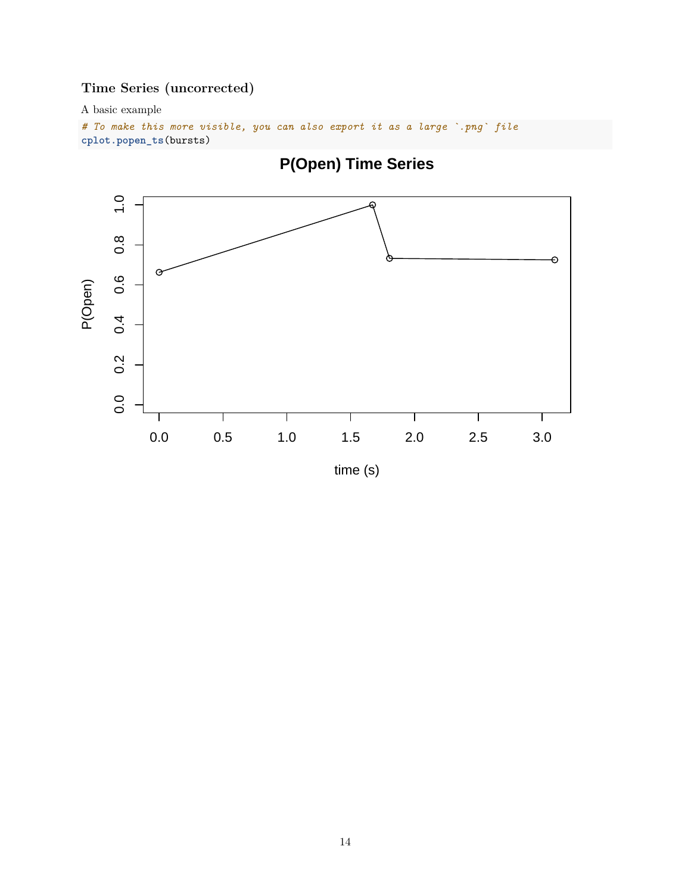## <span id="page-13-0"></span>**Time Series (uncorrected)**

A basic example

```
# To make this more visible, you can also export it as a large `.png` file
cplot.popen_ts(bursts)
```


time (s)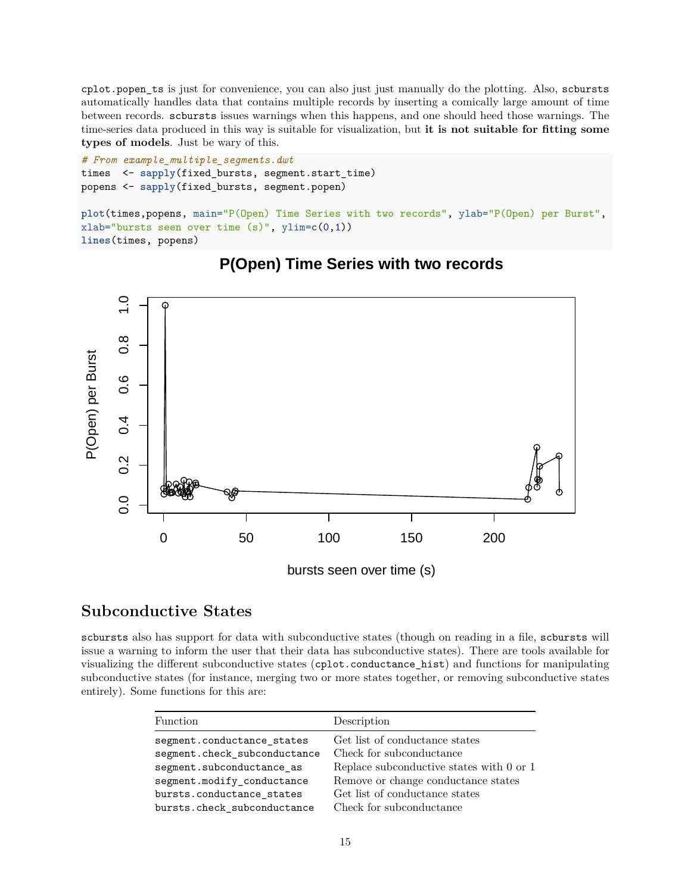cplot.popen\_ts is just for convenience, you can also just just manually do the plotting. Also, scbursts automatically handles data that contains multiple records by inserting a comically large amount of time between records. scbursts issues warnings when this happens, and one should heed those warnings. The time-series data produced in this way is suitable for visualization, but **it is not suitable for fitting some types of models**. Just be wary of this.

```
# From example_multiple_segments.dwt
times <- sapply(fixed_bursts, segment.start_time)
popens <- sapply(fixed_bursts, segment.popen)
```

```
plot(times,popens, main="P(Open) Time Series with two records", ylab="P(Open) per Burst",
xlab="bursts seen over time (s)", ylim=c(0,1))
lines(times, popens)
```


## **P(Open) Time Series with two records**

## <span id="page-14-0"></span>**Subconductive States**

scbursts also has support for data with subconductive states (though on reading in a file, scbursts will issue a warning to inform the user that their data has subconductive states). There are tools available for visualizing the different subconductive states (cplot.conductance\_hist) and functions for manipulating subconductive states (for instance, merging two or more states together, or removing subconductive states entirely). Some functions for this are:

| <b>Function</b>              | Description                              |
|------------------------------|------------------------------------------|
| segment.conductance_states   | Get list of conductance states           |
| segment.check_subconductance | Check for subconductance                 |
| segment.subconductance_as    | Replace subconductive states with 0 or 1 |
| segment.modify_conductance   | Remove or change conductance states      |
| bursts.conductance states    | Get list of conductance states           |
| bursts.check_subconductance  | Check for subconductance                 |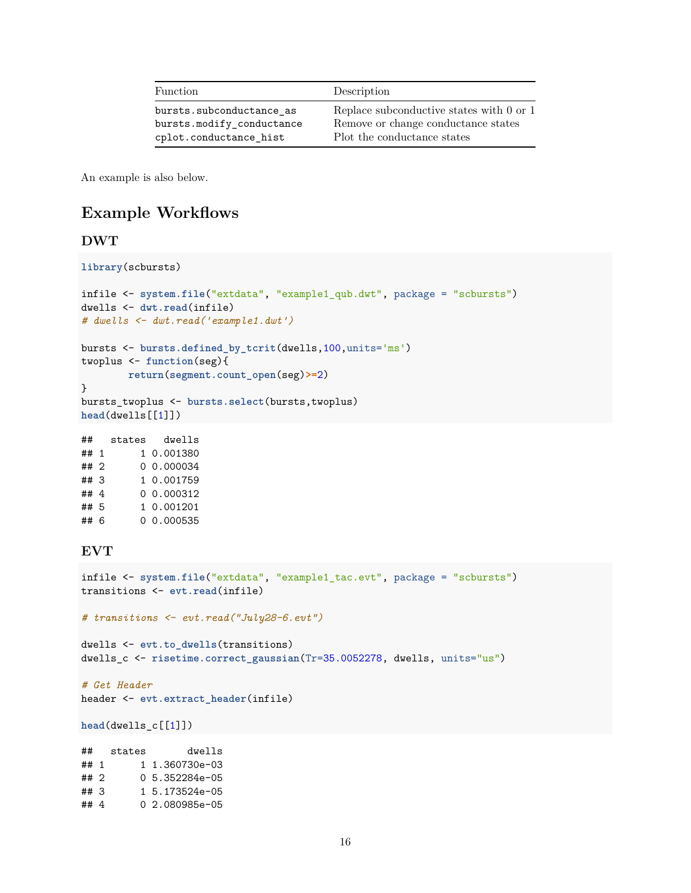| <b>Function</b>           | Description                                  |
|---------------------------|----------------------------------------------|
| bursts.subconductance_as  | Replace subconductive states with $0$ or $1$ |
| bursts.modify conductance | Remove or change conductance states          |
| cplot.conductance hist    | Plot the conductance states                  |

An example is also below.

## <span id="page-15-0"></span>**Example Workflows**

### <span id="page-15-1"></span>**DWT**

```
library(scbursts)
```

```
infile <- system.file("extdata", "example1_qub.dwt", package = "scbursts")
dwells <- dwt.read(infile)
# dwells <- dwt.read('example1.dwt')
bursts <- bursts.defined_by_tcrit(dwells,100,units='ms')
twoplus <- function(seg){
        return(segment.count_open(seg)>=2)
}
bursts_twoplus <- bursts.select(bursts,twoplus)
```
**head**(dwells[[1]])

## states dwells ## 1 1 0.001380 ## 2 0 0.000034 ## 3 1 0.001759 ## 4 0 0.000312 ## 5 1 0.001201 ## 6 0 0.000535

## <span id="page-15-2"></span>**EVT**

```
infile <- system.file("extdata", "example1_tac.evt", package = "scbursts")
transitions <- evt.read(infile)
```
*# transitions <- evt.read("July28-6.evt")*

```
dwells <- evt.to_dwells(transitions)
dwells_c <- risetime.correct_gaussian(Tr=35.0052278, dwells, units="us")
```
#### *# Get Header*

```
header <- evt.extract_header(infile)
```
**head**(dwells\_c[[1]])

## states dwells ## 1 1 1.360730e-03 ## 2 0 5.352284e-05 ## 3 1 5.173524e-05 ## 4 0 2.080985e-05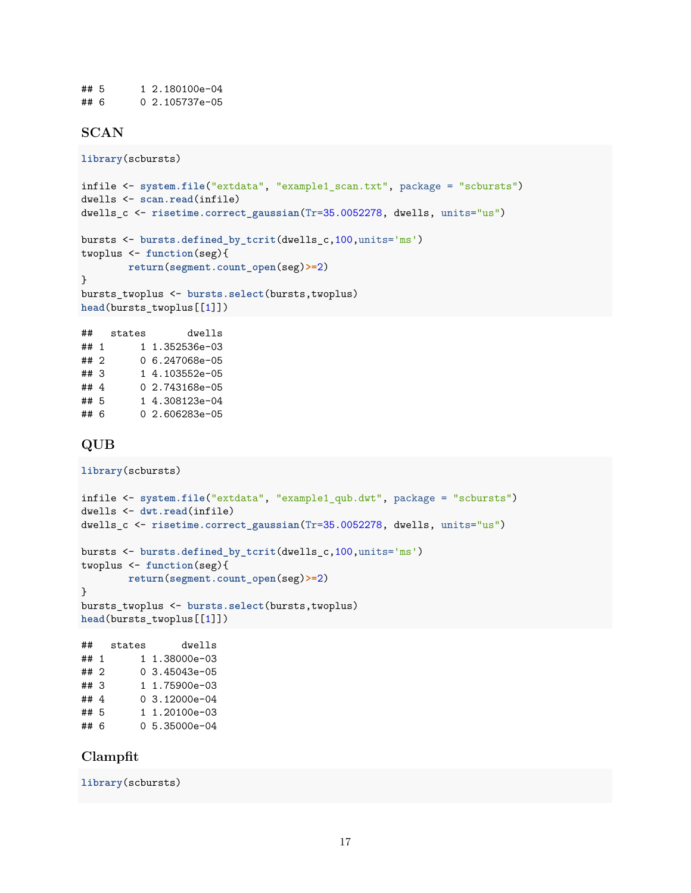## 5 1 2.180100e-04 ## 6 0 2.105737e-05

## <span id="page-16-0"></span>**SCAN**

```
library(scbursts)
```

```
infile <- system.file("extdata", "example1_scan.txt", package = "scbursts")
dwells <- scan.read(infile)
dwells_c <- risetime.correct_gaussian(Tr=35.0052278, dwells, units="us")
bursts <- bursts.defined_by_tcrit(dwells_c,100,units='ms')
twoplus <- function(seg){
       return(segment.count_open(seg)>=2)
}
bursts_twoplus <- bursts.select(bursts,twoplus)
head(bursts_twoplus[[1]])
## states dwells
```
## 1 1 1.352536e-03 ## 2 0 6.247068e-05 ## 3 1 4.103552e-05 ## 4 0 2.743168e-05 ## 5 1 4.308123e-04 ## 6 0 2.606283e-05

### <span id="page-16-1"></span>**QUB**

```
library(scbursts)
infile <- system.file("extdata", "example1_qub.dwt", package = "scbursts")
dwells <- dwt.read(infile)
dwells_c <- risetime.correct_gaussian(Tr=35.0052278, dwells, units="us")
bursts <- bursts.defined_by_tcrit(dwells_c,100,units='ms')
twoplus <- function(seg){
       return(segment.count_open(seg)>=2)
}
bursts_twoplus <- bursts.select(bursts,twoplus)
head(bursts_twoplus[[1]])
## states dwells
## 1 1 1.38000e-03
## 2 0 3.45043e-05
## 3 1 1.75900e-03
## 4 0 3.12000e-04
## 5 1 1.20100e-03
## 6 0 5.35000e-04
```
### <span id="page-16-2"></span>**Clampfit**

**library**(scbursts)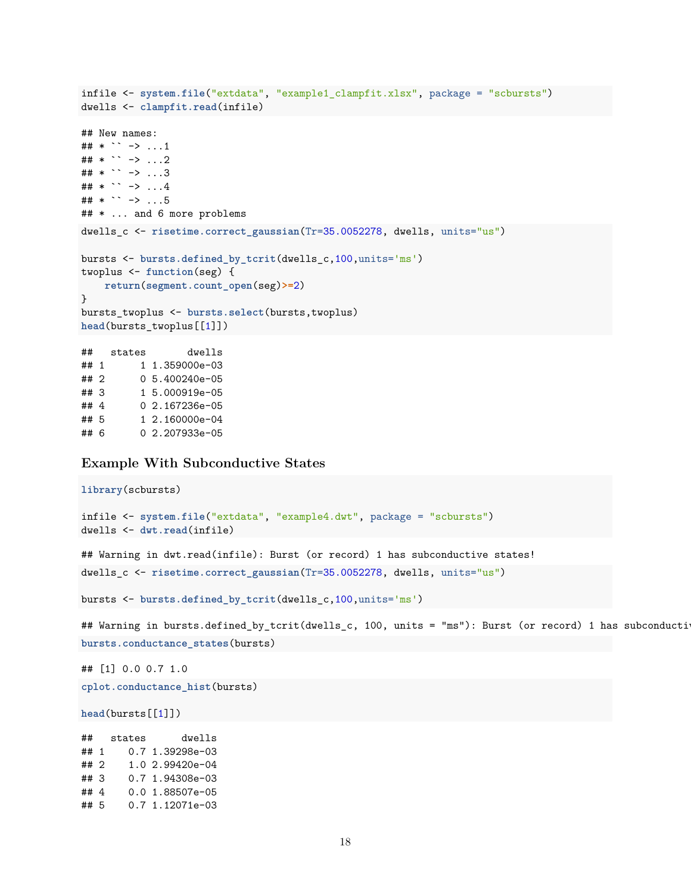```
infile <- system.file("extdata", "example1_clampfit.xlsx", package = "scbursts")
dwells <- clampfit.read(infile)
## New names:
## * \rightarrow ...1
## * `` -> ...2
## * `` -> ...3
## * `` -> ...4
## * `` -> ...5
## * ... and 6 more problems
dwells c <- risetime.correct gaussian(Tr=35.0052278, dwells, units="us")
bursts <- bursts.defined_by_tcrit(dwells_c,100,units='ms')
twoplus <- function(seg) {
   return(segment.count_open(seg)>=2)
}
bursts_twoplus <- bursts.select(bursts,twoplus)
head(bursts_twoplus[[1]])
## states dwells
## 1 1 1.359000e-03
## 2 0 5.400240e-05
## 3 1 5.000919e-05
```
## 4 0 2.167236e-05

## 5 1 2.160000e-04 ## 6 0 2.207933e-05

#### <span id="page-17-0"></span>**Example With Subconductive States**

```
library(scbursts)
infile <- system.file("extdata", "example4.dwt", package = "scbursts")
dwells <- dwt.read(infile)
## Warning in dwt.read(infile): Burst (or record) 1 has subconductive states!
dwells_c <- risetime.correct_gaussian(Tr=35.0052278, dwells, units="us")
bursts <- bursts.defined_by_tcrit(dwells_c,100,units='ms')
## Warning in bursts.defined_by_tcrit(dwells_c, 100, units = "ms"): Burst (or record) 1 has subconducti
bursts.conductance_states(bursts)
```
## [1] 0.0 0.7 1.0

**cplot.conductance\_hist**(bursts)

**head**(bursts[[1]])

## states dwells ## 1 0.7 1.39298e-03 ## 2 1.0 2.99420e-04 ## 3 0.7 1.94308e-03 ## 4 0.0 1.88507e-05 ## 5 0.7 1.12071e-03